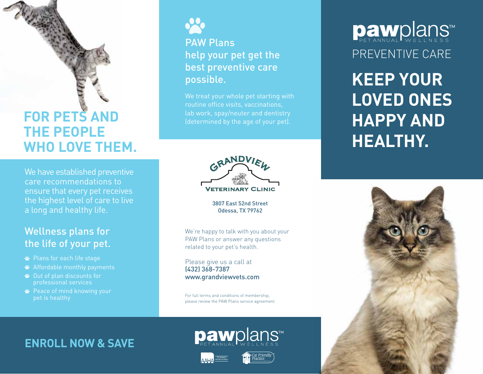# **FOR PETS AND THE PEOPLE WHO LOVE THEM.**

We have established preventive care recommendations to ensure that every pet receives the highest level of care to live a long and healthy life.

#### Wellness plans for the life of your pet.

- Plans for each life stage
- Affordable monthly payments
- Out of plan discounts for professional services
- Peace of mind knowing your pet is healthy



#### PAW Plans help your pet get the best preventive care possible.

We treat your whole pet starting with routine office visits, vaccinations, lab work, spay/neuter and dentistry



3807 East 52nd Street Odessa, TX 79762

We're happy to talk with you about your PAW Plans or answer any questions related to your pet's health.

Please give us a call at (432) 368-7387 www.grandviewvets.com

For full terms and conditions of membership, please review the PAW Plans service agreement.

pawplans™

### **ENROLL NOW & SAVE**





# PREVENTIVE CARE Dawplans

**KEEP YOUR LOVED ONES HAPPY AND HEALTHY.**